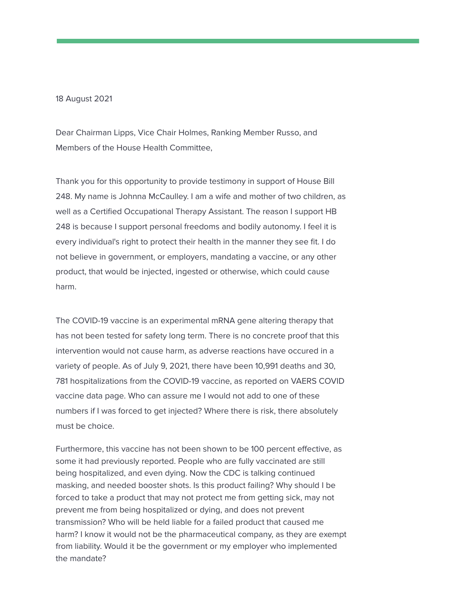## 18 August 2021

Dear Chairman Lipps, Vice Chair Holmes, Ranking Member Russo, and Members of the House Health Committee,

Thank you for this opportunity to provide testimony in support of House Bill 248. My name is Johnna McCaulley. I am a wife and mother of two children, as well as a Certified Occupational Therapy Assistant. The reason I support HB 248 is because I support personal freedoms and bodily autonomy. I feel it is every individual's right to protect their health in the manner they see fit. I do not believe in government, or employers, mandating a vaccine, or any other product, that would be injected, ingested or otherwise, which could cause harm.

The COVID-19 vaccine is an experimental mRNA gene altering therapy that has not been tested for safety long term. There is no concrete proof that this intervention would not cause harm, as adverse reactions have occured in a variety of people. As of July 9, 2021, there have been 10,991 deaths and 30, 781 hospitalizations from the COVID-19 vaccine, as reported on VAERS COVID vaccine data page. Who can assure me I would not add to one of these numbers if I was forced to get injected? Where there is risk, there absolutely must be choice.

Furthermore, this vaccine has not been shown to be 100 percent effective, as some it had previously reported. People who are fully vaccinated are still being hospitalized, and even dying. Now the CDC is talking continued masking, and needed booster shots. Is this product failing? Why should I be forced to take a product that may not protect me from getting sick, may not prevent me from being hospitalized or dying, and does not prevent transmission? Who will be held liable for a failed product that caused me harm? I know it would not be the pharmaceutical company, as they are exempt from liability. Would it be the government or my employer who implemented the mandate?